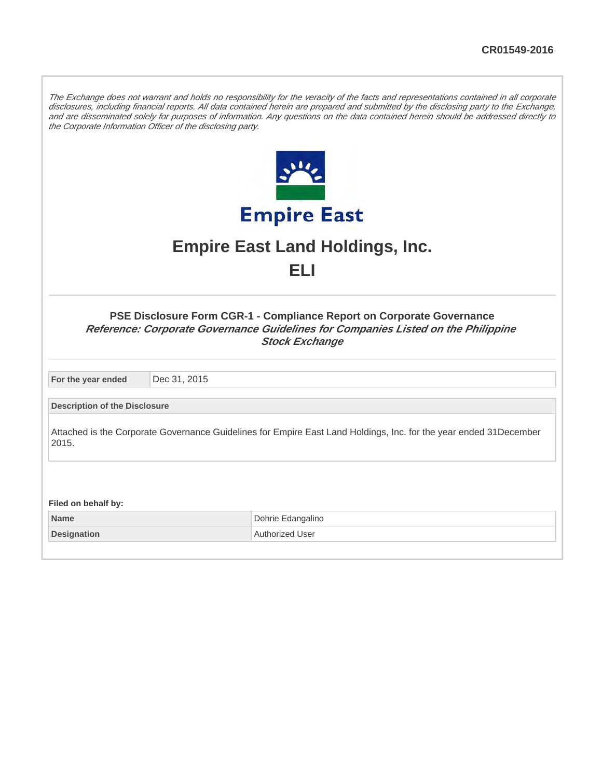The Exchange does not warrant and holds no responsibility for the veracity of the facts and representations contained in all corporate disclosures, including financial reports. All data contained herein are prepared and submitted by the disclosing party to the Exchange, and are disseminated solely for purposes of information. Any questions on the data contained herein should be addressed directly to the Corporate Information Officer of the disclosing party.



## **Empire East Land Holdings, Inc. ELI**

| <b>PSE Disclosure Form CGR-1 - Compliance Report on Corporate Governance</b>      |
|-----------------------------------------------------------------------------------|
| Reference: Corporate Governance Guidelines for Companies Listed on the Philippine |
| <b>Stock Exchange</b>                                                             |

**For the year ended** Dec 31, 2015

**Description of the Disclosure**

Attached is the Corporate Governance Guidelines for Empire East Land Holdings, Inc. for the year ended 31December 2015.

**Filed on behalf by:**

**Name** Dohrie Edangalino **Designation Authorized User**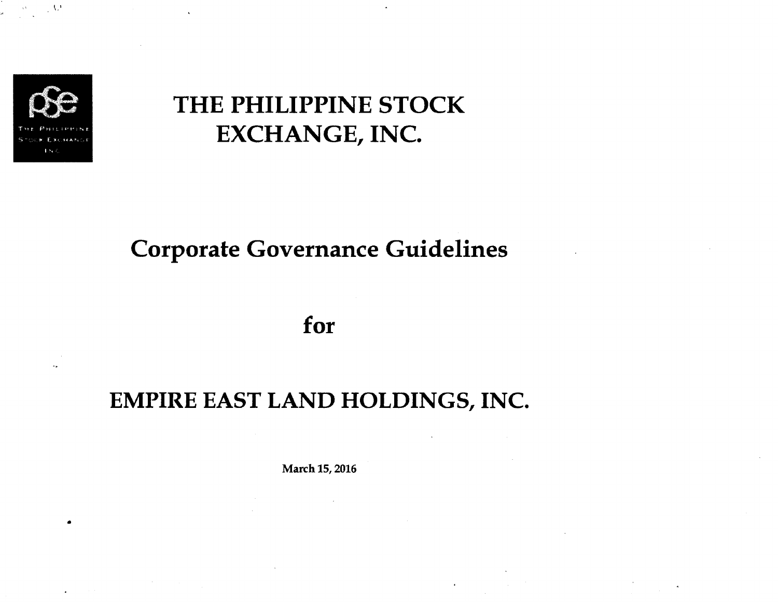

•

 $\sim$   $\,$  M  $\,$ 

# THE PHILIPPINE STOCK EXCHANGE, INC.

# Corporate Governance Guidelines

## for

# EMPIRE EAST LAND HOLDINGS, INC.

March 15, 2016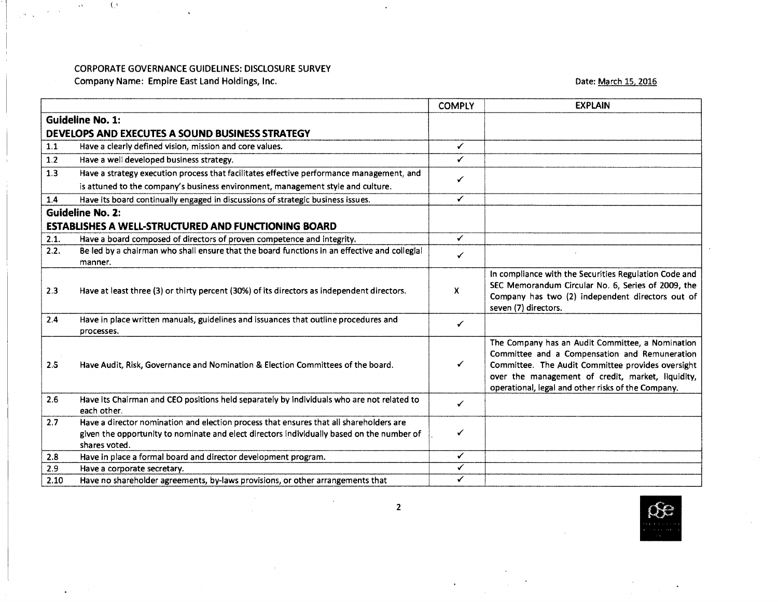Company Name: Empire East land Holdings, Inc.

(,'

 $\alpha\delta$ 

I

## Date: March 15, 2016

|       |                                                                                                                                                                                                      | <b>COMPLY</b> | <b>EXPLAIN</b>                                                                                                                                                                                                                                                    |
|-------|------------------------------------------------------------------------------------------------------------------------------------------------------------------------------------------------------|---------------|-------------------------------------------------------------------------------------------------------------------------------------------------------------------------------------------------------------------------------------------------------------------|
|       | <b>Guideline No. 1:</b>                                                                                                                                                                              |               |                                                                                                                                                                                                                                                                   |
|       | DEVELOPS AND EXECUTES A SOUND BUSINESS STRATEGY                                                                                                                                                      |               |                                                                                                                                                                                                                                                                   |
| 1.1   | Have a clearly defined vision, mission and core values.                                                                                                                                              | ✓             |                                                                                                                                                                                                                                                                   |
| $1.2$ | Have a well developed business strategy.                                                                                                                                                             | ✓             |                                                                                                                                                                                                                                                                   |
| 1.3   | Have a strategy execution process that facilitates effective performance management, and                                                                                                             |               |                                                                                                                                                                                                                                                                   |
|       | is attuned to the company's business environment, management style and culture.                                                                                                                      | ✓             |                                                                                                                                                                                                                                                                   |
| 1.4   | Have its board continually engaged in discussions of strategic business issues.                                                                                                                      | ✓             |                                                                                                                                                                                                                                                                   |
|       | <b>Guideline No. 2:</b>                                                                                                                                                                              |               |                                                                                                                                                                                                                                                                   |
|       | <b>ESTABLISHES A WELL-STRUCTURED AND FUNCTIONING BOARD</b>                                                                                                                                           |               |                                                                                                                                                                                                                                                                   |
| 2.1.  | Have a board composed of directors of proven competence and integrity.                                                                                                                               | ✓             |                                                                                                                                                                                                                                                                   |
| 2.2.  | Be led by a chairman who shall ensure that the board functions in an effective and collegial                                                                                                         |               |                                                                                                                                                                                                                                                                   |
|       | manner.                                                                                                                                                                                              | ✓             |                                                                                                                                                                                                                                                                   |
| 2.3   | Have at least three (3) or thirty percent (30%) of its directors as independent directors.                                                                                                           | X             | In compliance with the Securities Regulation Code and<br>SEC Memorandum Circular No. 6, Series of 2009, the<br>Company has two (2) independent directors out of<br>seven (7) directors.                                                                           |
| 2.4   | Have in place written manuals, guidelines and issuances that outline procedures and<br>processes.                                                                                                    | ✓             |                                                                                                                                                                                                                                                                   |
| 2.5   | Have Audit, Risk, Governance and Nomination & Election Committees of the board.                                                                                                                      | ✓             | The Company has an Audit Committee, a Nomination<br>Committee and a Compensation and Remuneration<br>Committee. The Audit Committee provides oversight<br>over the management of credit, market, liquidity,<br>operational, legal and other risks of the Company. |
| 2.6   | Have its Chairman and CEO positions held separately by individuals who are not related to<br>each other.                                                                                             | ✓             |                                                                                                                                                                                                                                                                   |
| 2.7   | Have a director nomination and election process that ensures that all shareholders are<br>given the opportunity to nominate and elect directors individually based on the number of<br>shares voted. | ✓             |                                                                                                                                                                                                                                                                   |
| 2.8   | Have in place a formal board and director development program.                                                                                                                                       | ✓             |                                                                                                                                                                                                                                                                   |
| 2.9   | Have a corporate secretary.                                                                                                                                                                          | ✓             |                                                                                                                                                                                                                                                                   |
| 2.10  | Have no shareholder agreements, by-laws provisions, or other arrangements that                                                                                                                       | ✓             |                                                                                                                                                                                                                                                                   |

 $\ddot{\phantom{a}}$ 

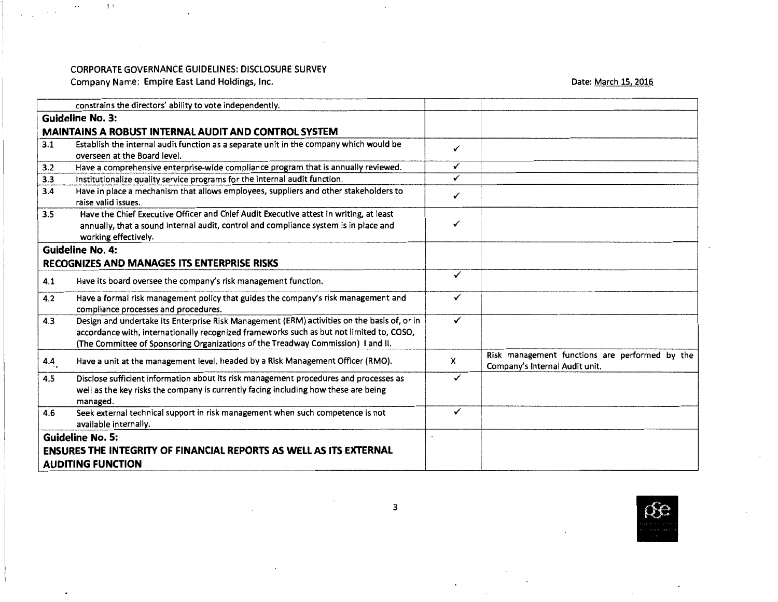$\ddot{\phantom{0}}$ 

Company Name: Empire East Land Holdings, Inc.

 $\sim$ 

t'

 $\rightarrow$ 

 $\alpha$  ,  $\beta$ 

Date: March 15, 2016

| constrains the directors' ability to vote independently.                                                                                                                                                                                                                           |              |                                                                                  |
|------------------------------------------------------------------------------------------------------------------------------------------------------------------------------------------------------------------------------------------------------------------------------------|--------------|----------------------------------------------------------------------------------|
| <b>Guideline No. 3:</b>                                                                                                                                                                                                                                                            |              |                                                                                  |
| MAINTAINS A ROBUST INTERNAL AUDIT AND CONTROL SYSTEM                                                                                                                                                                                                                               |              |                                                                                  |
| Establish the internal audit function as a separate unit in the company which would be<br>3.1<br>overseen at the Board level.                                                                                                                                                      | ✓            |                                                                                  |
| Have a comprehensive enterprise-wide compliance program that is annually reviewed.<br>3.2                                                                                                                                                                                          | ✓            |                                                                                  |
| Institutionalize quality service programs for the internal audit function.<br>3.3                                                                                                                                                                                                  | ✓            |                                                                                  |
| Have in place a mechanism that allows employees, suppliers and other stakeholders to<br>3.4<br>raise valid issues.                                                                                                                                                                 | ✓            |                                                                                  |
| Have the Chief Executive Officer and Chief Audit Executive attest in writing, at least<br>3.5<br>annually, that a sound internal audit, control and compliance system is in place and<br>working effectively.                                                                      | ✓            |                                                                                  |
| <b>Guideline No. 4:</b>                                                                                                                                                                                                                                                            |              |                                                                                  |
| RECOGNIZES AND MANAGES ITS ENTERPRISE RISKS                                                                                                                                                                                                                                        |              |                                                                                  |
| Have its board oversee the company's risk management function.<br>4.1                                                                                                                                                                                                              | $\checkmark$ |                                                                                  |
| Have a formal risk management policy that guides the company's risk management and<br>4.2<br>compliance processes and procedures.                                                                                                                                                  | ✓            |                                                                                  |
| Design and undertake its Enterprise Risk Management (ERM) activities on the basis of, or in<br>4.3<br>accordance with, internationally recognized frameworks such as but not limited to, COSO,<br>(The Committee of Sponsoring Organizations of the Treadway Commission) I and II. | ✓            |                                                                                  |
| Have a unit at the management level, headed by a Risk Management Officer (RMO).<br>4.4 <sub>7</sub>                                                                                                                                                                                | x            | Risk management functions are performed by the<br>Company's Internal Audit unit. |
| Disclose sufficient information about its risk management procedures and processes as<br>4.5<br>well as the key risks the company is currently facing including how these are being<br>managed.                                                                                    | ✓            |                                                                                  |
| Seek external technical support in risk management when such competence is not<br>4.6<br>available internally.                                                                                                                                                                     | ✓            |                                                                                  |
| <b>Guideline No. 5:</b>                                                                                                                                                                                                                                                            |              |                                                                                  |
| <b>ENSURES THE INTEGRITY OF FINANCIAL REPORTS AS WELL AS ITS EXTERNAL</b>                                                                                                                                                                                                          |              |                                                                                  |
| <b>AUDITING FUNCTION</b>                                                                                                                                                                                                                                                           |              |                                                                                  |



 $\bullet$ 

 $\sim 10$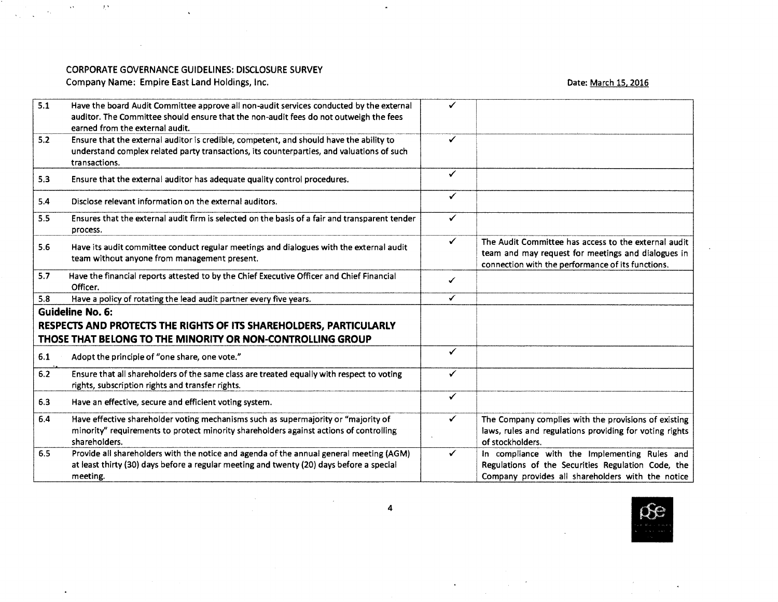$\Delta$ 

Company Name: Empire East Land Holdings, Inc.

 $\mathcal{A}$ 

I'

 $\rightarrow$   $^{\star}$ 

 $\bullet$ 

 $\langle \sigma_{\rm{eff}} \rangle$ 

 $\sim$ 

## Date: March 15, 2016

| 5.1                                                                | Have the board Audit Committee approve all non-audit services conducted by the external<br>auditor. The Committee should ensure that the non-audit fees do not outweigh the fees<br>earned from the external audit. |                         |                                                                                                                                                                 |
|--------------------------------------------------------------------|---------------------------------------------------------------------------------------------------------------------------------------------------------------------------------------------------------------------|-------------------------|-----------------------------------------------------------------------------------------------------------------------------------------------------------------|
| 5.2                                                                | Ensure that the external auditor is credible, competent, and should have the ability to<br>understand complex related party transactions, its counterparties, and valuations of such<br>transactions.               | ✓                       |                                                                                                                                                                 |
| 5.3                                                                | Ensure that the external auditor has adequate quality control procedures.                                                                                                                                           | $\checkmark$            |                                                                                                                                                                 |
| 5.4                                                                | Disclose relevant information on the external auditors.                                                                                                                                                             | ✓                       |                                                                                                                                                                 |
| 5.5                                                                | Ensures that the external audit firm is selected on the basis of a fair and transparent tender<br>process.                                                                                                          | ✓                       |                                                                                                                                                                 |
| 5.6                                                                | Have its audit committee conduct regular meetings and dialogues with the external audit<br>team without anyone from management present.                                                                             | ✓                       | The Audit Committee has access to the external audit<br>team and may request for meetings and dialogues in<br>connection with the performance of its functions. |
| 5.7                                                                | Have the financial reports attested to by the Chief Executive Officer and Chief Financial<br>Officer.                                                                                                               | ✓                       |                                                                                                                                                                 |
| 5.8                                                                | Have a policy of rotating the lead audit partner every five years.                                                                                                                                                  | $\overline{\checkmark}$ |                                                                                                                                                                 |
| <b>Guideline No. 6:</b>                                            |                                                                                                                                                                                                                     |                         |                                                                                                                                                                 |
| RESPECTS AND PROTECTS THE RIGHTS OF ITS SHAREHOLDERS, PARTICULARLY |                                                                                                                                                                                                                     |                         |                                                                                                                                                                 |
|                                                                    | THOSE THAT BELONG TO THE MINORITY OR NON-CONTROLLING GROUP                                                                                                                                                          |                         |                                                                                                                                                                 |
| 6.1                                                                | Adopt the principle of "one share, one vote."                                                                                                                                                                       | ✓                       |                                                                                                                                                                 |
| $6.2$                                                              | Ensure that all shareholders of the same class are treated equally with respect to voting<br>rights, subscription rights and transfer rights.                                                                       | ✓                       |                                                                                                                                                                 |
| 6.3                                                                | Have an effective, secure and efficient voting system.                                                                                                                                                              | $\checkmark$            |                                                                                                                                                                 |
| 6.4                                                                | Have effective shareholder voting mechanisms such as supermajority or "majority of<br>minority" requirements to protect minority shareholders against actions of controlling<br>shareholders.                       |                         | The Company complies with the provisions of existing<br>laws, rules and regulations providing for voting rights<br>of stockholders.                             |
| 6.5                                                                | Provide all shareholders with the notice and agenda of the annual general meeting (AGM)<br>at least thirty (30) days before a regular meeting and twenty (20) days before a special<br>meeting.                     | ✓                       | In compliance with the Implementing Rules and<br>Regulations of the Securities Regulation Code, the<br>Company provides all shareholders with the notice        |

 $\bullet$ 



4

 $\ddot{\phantom{0}}$ 

 $\sim$ 

 $\mathcal{A}^{\mathcal{A}}$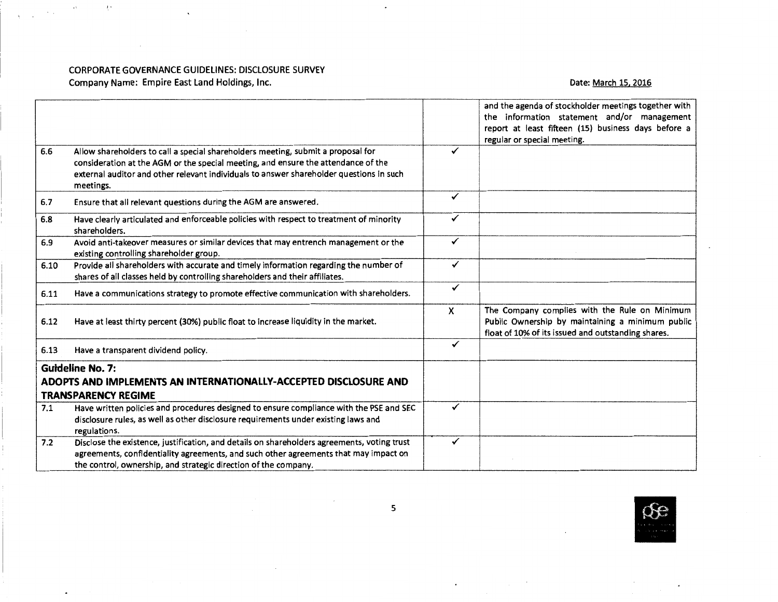$\mathbf{x}$ 

Company Name: Empire East land Holdings, Inc.

 $\sim 10^{-11}$ 

 $\chi_{\rm M}$ 

 $\alpha$ 

 $\ddot{\phantom{0}}$ 

## Date: March 15, 2016

|      |                                                                                                                                                                                                                                                                               |   | and the agenda of stockholder meetings together with<br>the information statement and/or management<br>report at least fifteen (15) business days before a |  |
|------|-------------------------------------------------------------------------------------------------------------------------------------------------------------------------------------------------------------------------------------------------------------------------------|---|------------------------------------------------------------------------------------------------------------------------------------------------------------|--|
|      |                                                                                                                                                                                                                                                                               |   | regular or special meeting.                                                                                                                                |  |
| 6.6  | Allow shareholders to call a special shareholders meeting, submit a proposal for<br>consideration at the AGM or the special meeting, and ensure the attendance of the<br>external auditor and other relevant individuals to answer shareholder questions in such<br>meetings. | ✓ |                                                                                                                                                            |  |
| 6,7  | Ensure that all relevant questions during the AGM are answered.                                                                                                                                                                                                               | ✓ |                                                                                                                                                            |  |
| 6.8  | Have clearly articulated and enforceable policies with respect to treatment of minority<br>shareholders.                                                                                                                                                                      | ✓ |                                                                                                                                                            |  |
| 6.9  | Avoid anti-takeover measures or similar devices that may entrench management or the<br>existing controlling shareholder group.                                                                                                                                                | ✓ |                                                                                                                                                            |  |
| 6.10 | Provide all shareholders with accurate and timely information regarding the number of<br>shares of all classes held by controlling shareholders and their affiliates.                                                                                                         | ✓ |                                                                                                                                                            |  |
| 6.11 | Have a communications strategy to promote effective communication with shareholders.                                                                                                                                                                                          | ✓ |                                                                                                                                                            |  |
| 6.12 | Have at least thirty percent (30%) public float to increase liquidity in the market.                                                                                                                                                                                          | X | The Company complies with the Rule on Minimum<br>Public Ownership by maintaining a minimum public<br>float of 10% of its issued and outstanding shares.    |  |
| 6.13 | Have a transparent dividend policy.                                                                                                                                                                                                                                           | ✓ |                                                                                                                                                            |  |
|      | <b>Guideline No. 7:</b>                                                                                                                                                                                                                                                       |   |                                                                                                                                                            |  |
|      | ADOPTS AND IMPLEMENTS AN INTERNATIONALLY-ACCEPTED DISCLOSURE AND                                                                                                                                                                                                              |   |                                                                                                                                                            |  |
|      | <b>TRANSPARENCY REGIME</b>                                                                                                                                                                                                                                                    |   |                                                                                                                                                            |  |
| 7.1  | Have written policies and procedures designed to ensure compliance with the PSE and SEC<br>disclosure rules, as well as other disclosure requirements under existing laws and<br>regulations.                                                                                 | ✓ |                                                                                                                                                            |  |
| 7.2  | Disclose the existence, justification, and details on shareholders agreements, voting trust<br>agreements, confidentiality agreements, and such other agreements that may impact on<br>the control, ownership, and strategic direction of the company.                        | ✓ |                                                                                                                                                            |  |

 $\Box$ 



5

 $\bullet$  .

 $\sim$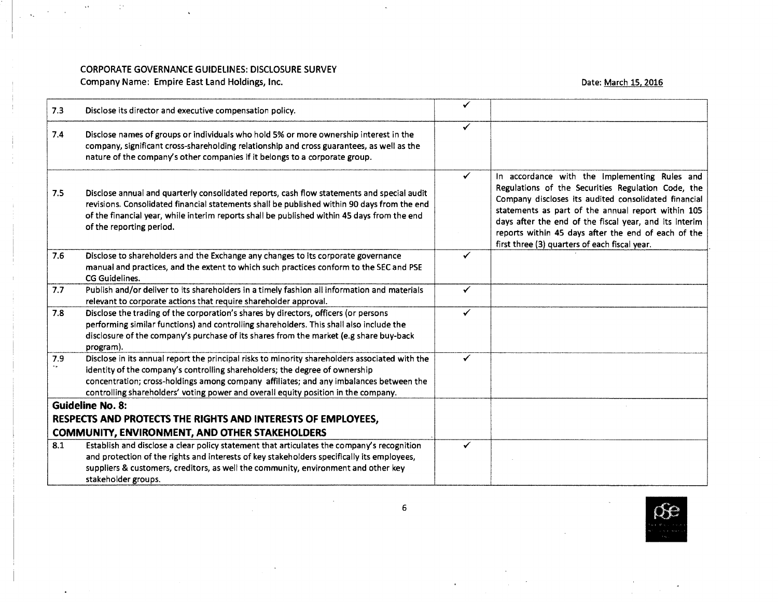Company Name: Empire East Land Holdings, Inc.

 $\mathbb{C}^*$ 

 $\sim$ 

 $\sim$   $\sim$  $\sim$  $\Delta\omega$  $\sim$ 

### Date: March 15, 2016

| 7.3 | Disclose its director and executive compensation policy.                                                                                                                                                                                                                                                                                                      | ✔            |                                                                                                                                                                                                                                                                                                                                                                                     |
|-----|---------------------------------------------------------------------------------------------------------------------------------------------------------------------------------------------------------------------------------------------------------------------------------------------------------------------------------------------------------------|--------------|-------------------------------------------------------------------------------------------------------------------------------------------------------------------------------------------------------------------------------------------------------------------------------------------------------------------------------------------------------------------------------------|
| 7.4 | Disclose names of groups or individuals who hold 5% or more ownership interest in the<br>company, significant cross-shareholding relationship and cross guarantees, as well as the<br>nature of the company's other companies if it belongs to a corporate group.                                                                                             | ✓            |                                                                                                                                                                                                                                                                                                                                                                                     |
| 7.5 | Disclose annual and quarterly consolidated reports, cash flow statements and special audit<br>revisions. Consolidated financial statements shall be published within 90 days from the end<br>of the financial year, while interim reports shall be published within 45 days from the end<br>of the reporting period.                                          | $\checkmark$ | In accordance with the implementing Rules and<br>Regulations of the Securities Regulation Code, the<br>Company discloses its audited consolidated financial<br>statements as part of the annual report within 105<br>days after the end of the fiscal year, and its interim<br>reports within 45 days after the end of each of the<br>first three (3) quarters of each fiscal year. |
| 7.6 | Disclose to shareholders and the Exchange any changes to its corporate governance<br>manual and practices, and the extent to which such practices conform to the SEC and PSE<br>CG Guidelines.                                                                                                                                                                | ✓            |                                                                                                                                                                                                                                                                                                                                                                                     |
| 7.7 | Publish and/or deliver to its shareholders in a timely fashion all information and materials<br>relevant to corporate actions that require shareholder approval.                                                                                                                                                                                              | ✓            |                                                                                                                                                                                                                                                                                                                                                                                     |
| 7.8 | Disclose the trading of the corporation's shares by directors, officers (or persons<br>performing similar functions) and controlling shareholders. This shall also include the<br>disclosure of the company's purchase of its shares from the market (e.g share buy-back<br>program).                                                                         | ✓            |                                                                                                                                                                                                                                                                                                                                                                                     |
| 7.9 | Disclose in its annual report the principal risks to minority shareholders associated with the<br>identity of the company's controlling shareholders; the degree of ownership<br>concentration; cross-holdings among company affiliates; and any imbalances between the<br>controlling shareholders' voting power and overall equity position in the company. | ✓            |                                                                                                                                                                                                                                                                                                                                                                                     |
|     | <b>Guideline No. 8:</b>                                                                                                                                                                                                                                                                                                                                       |              |                                                                                                                                                                                                                                                                                                                                                                                     |
|     | RESPECTS AND PROTECTS THE RIGHTS AND INTERESTS OF EMPLOYEES,                                                                                                                                                                                                                                                                                                  |              |                                                                                                                                                                                                                                                                                                                                                                                     |
|     | <b>COMMUNITY, ENVIRONMENT, AND OTHER STAKEHOLDERS</b>                                                                                                                                                                                                                                                                                                         |              |                                                                                                                                                                                                                                                                                                                                                                                     |
| 8.1 | Establish and disclose a clear policy statement that articulates the company's recognition<br>and protection of the rights and interests of key stakeholders specifically its employees,<br>suppliers & customers, creditors, as well the community, environment and other key<br>stakeholder groups.                                                         | ✓            |                                                                                                                                                                                                                                                                                                                                                                                     |



6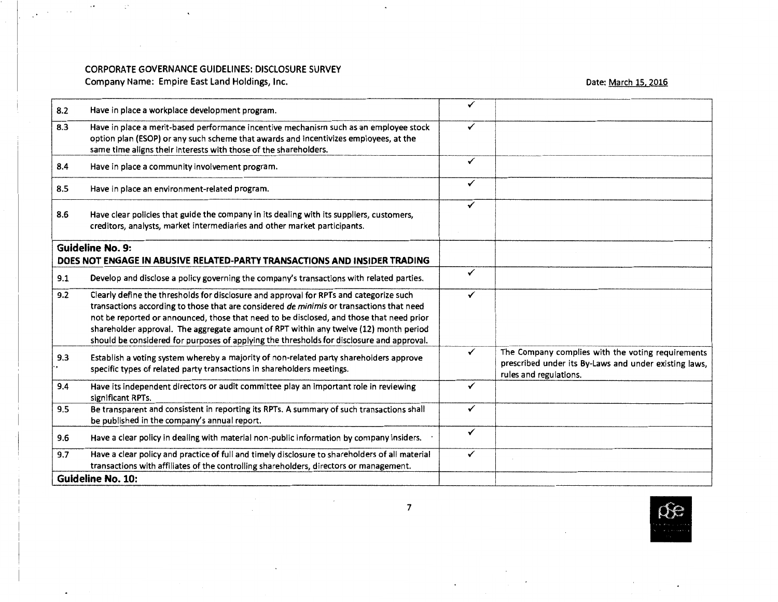Company Name: Empire East Land Holdings, Inc.

 $\mathbf{v}$ 

 $\mathcal{L}_{\text{max}}$  and  $\mathcal{L}_{\text{max}}$ 

 $\label{eq:2.1} \frac{1}{2}\sum_{i=1}^n\frac{1}{2}\sum_{i=1}^n\frac{1}{2}\sum_{i=1}^n\frac{1}{2}\sum_{i=1}^n\frac{1}{2}\sum_{i=1}^n\frac{1}{2}\sum_{i=1}^n\frac{1}{2}\sum_{i=1}^n\frac{1}{2}\sum_{i=1}^n\frac{1}{2}\sum_{i=1}^n\frac{1}{2}\sum_{i=1}^n\frac{1}{2}\sum_{i=1}^n\frac{1}{2}\sum_{i=1}^n\frac{1}{2}\sum_{i=1}^n\frac{1}{2}\sum_{i=1}^n\$ 

 $\overline{\phantom{a}}$ 

 $\sim 10^{10}$ 

Date: March 15, 2016

| 8.2                                                                                                  | Have in place a workplace development program.                                                                                                                                                                                                                                                                                                                                                                                                                       | ✓ |                                                                                                                                      |
|------------------------------------------------------------------------------------------------------|----------------------------------------------------------------------------------------------------------------------------------------------------------------------------------------------------------------------------------------------------------------------------------------------------------------------------------------------------------------------------------------------------------------------------------------------------------------------|---|--------------------------------------------------------------------------------------------------------------------------------------|
| 8.3                                                                                                  | Have in place a merit-based performance incentive mechanism such as an employee stock<br>option plan (ESOP) or any such scheme that awards and incentivizes employees, at the<br>same time aligns their interests with those of the shareholders.                                                                                                                                                                                                                    | ✓ |                                                                                                                                      |
| 8.4                                                                                                  | Have in place a community involvement program.                                                                                                                                                                                                                                                                                                                                                                                                                       | ✓ |                                                                                                                                      |
| 8.5                                                                                                  | Have in place an environment-related program.                                                                                                                                                                                                                                                                                                                                                                                                                        | ✓ |                                                                                                                                      |
| 8.6                                                                                                  | Have clear policies that guide the company in its dealing with its suppliers, customers,<br>creditors, analysts, market intermediaries and other market participants.                                                                                                                                                                                                                                                                                                | ✓ |                                                                                                                                      |
| <b>Guideline No. 9:</b><br>DOES NOT ENGAGE IN ABUSIVE RELATED-PARTY TRANSACTIONS AND INSIDER TRADING |                                                                                                                                                                                                                                                                                                                                                                                                                                                                      |   |                                                                                                                                      |
| 9.1                                                                                                  | Develop and disclose a policy governing the company's transactions with related parties.                                                                                                                                                                                                                                                                                                                                                                             | ✓ |                                                                                                                                      |
| 9.2                                                                                                  | Clearly define the thresholds for disclosure and approval for RPTs and categorize such<br>transactions according to those that are considered de minimis or transactions that need<br>not be reported or announced, those that need to be disclosed, and those that need prior<br>shareholder approval. The aggregate amount of RPT within any twelve (12) month period<br>should be considered for purposes of applying the thresholds for disclosure and approval. | ✓ |                                                                                                                                      |
| 9.3                                                                                                  | Establish a voting system whereby a majority of non-related party shareholders approve<br>specific types of related party transactions in shareholders meetings.                                                                                                                                                                                                                                                                                                     | ✓ | The Company complies with the voting requirements<br>prescribed under its By-Laws and under existing laws,<br>rules and regulations. |
| 9.4                                                                                                  | Have its independent directors or audit committee play an important role in reviewing<br>significant RPTs.                                                                                                                                                                                                                                                                                                                                                           | ✓ |                                                                                                                                      |
| 9.5                                                                                                  | Be transparent and consistent in reporting its RPTs. A summary of such transactions shall<br>be published in the company's annual report.                                                                                                                                                                                                                                                                                                                            | ✓ |                                                                                                                                      |
| 9.6                                                                                                  | Have a clear policy in dealing with material non-public information by company insiders.                                                                                                                                                                                                                                                                                                                                                                             | ✓ |                                                                                                                                      |
| 9.7                                                                                                  | Have a clear policy and practice of full and timely disclosure to shareholders of all material<br>transactions with affiliates of the controlling shareholders, directors or management.                                                                                                                                                                                                                                                                             | ✓ |                                                                                                                                      |
|                                                                                                      | <b>Guideline No. 10:</b>                                                                                                                                                                                                                                                                                                                                                                                                                                             |   |                                                                                                                                      |

 $\hat{\mathbf{z}}$ 



٠

 $\bullet$ 

 $\sim 100$